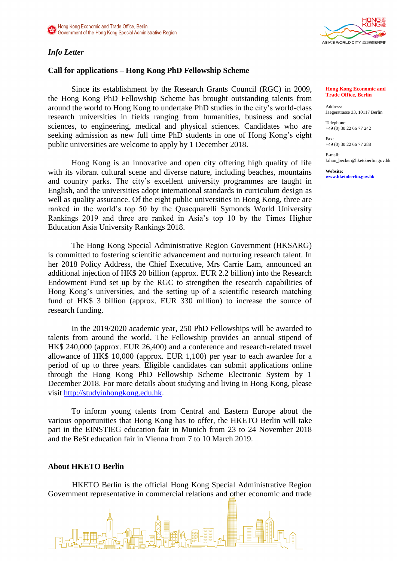### *Info Letter*

# ASIA'S WORLD CITY 亞洲國際都會

## **Call for applications – Hong Kong PhD Fellowship Scheme**

Since its establishment by the Research Grants Council (RGC) in 2009, the Hong Kong PhD Fellowship Scheme has brought outstanding talents from around the world to Hong Kong to undertake PhD studies in the city's world-class research universities in fields ranging from humanities, business and social sciences, to engineering, medical and physical sciences. Candidates who are seeking admission as new full time PhD students in one of Hong Kong's eight public universities are welcome to apply by 1 December 2018.

Hong Kong is an innovative and open city offering high quality of life with its vibrant cultural scene and diverse nature, including beaches, mountains and country parks. The city's excellent university programmes are taught in English, and the universities adopt international standards in curriculum design as well as quality assurance. Of the eight public universities in Hong Kong, three are ranked in the world's top 50 by the Quacquarelli Symonds World University Rankings 2019 and three are ranked in Asia's top 10 by the Times Higher Education Asia University Rankings 2018.

The Hong Kong Special Administrative Region Government (HKSARG) is committed to fostering scientific advancement and nurturing research talent. In her 2018 Policy Address, the Chief Executive, Mrs Carrie Lam, announced an additional injection of HK\$ 20 billion (approx. EUR 2.2 billion) into the Research Endowment Fund set up by the RGC to strengthen the research capabilities of Hong Kong's universities, and the setting up of a scientific research matching fund of HK\$ 3 billion (approx. EUR 330 million) to increase the source of research funding.

In the 2019/2020 academic year, 250 PhD Fellowships will be awarded to talents from around the world. The Fellowship provides an annual stipend of HK\$ 240,000 (approx. EUR 26,400) and a conference and research-related travel allowance of HK\$ 10,000 (approx. EUR 1,100) per year to each awardee for a period of up to three years. Eligible candidates can submit applications online through the Hong Kong PhD Fellowship Scheme Electronic System by 1 December 2018. For more details about studying and living in Hong Kong, please visit [http://studyinhongkong.edu.hk.](http://studyinhongkong.edu.hk/)

To inform young talents from Central and Eastern Europe about the various opportunities that Hong Kong has to offer, the HKETO Berlin will take part in the EINSTIEG education fair in Munich from 23 to 24 November 2018 and the BeSt education fair in Vienna from 7 to 10 March 2019.

#### **About HKETO Berlin**

HKETO Berlin is the official Hong Kong Special Administrative Region Government representative in commercial relations and other economic and trade



#### **Hong Kong Economic and Trade Office, Berlin**

Address: Jaegerstrasse 33, 10117 Berlin

Telephone: +49 (0) 30 22 66 77 242

Fax: +49 (0) 30 22 66 77 288

E-mail: kilian\_becker@hketoberlin.gov.hk

**Website: www.hketoberlin.gov.hk**